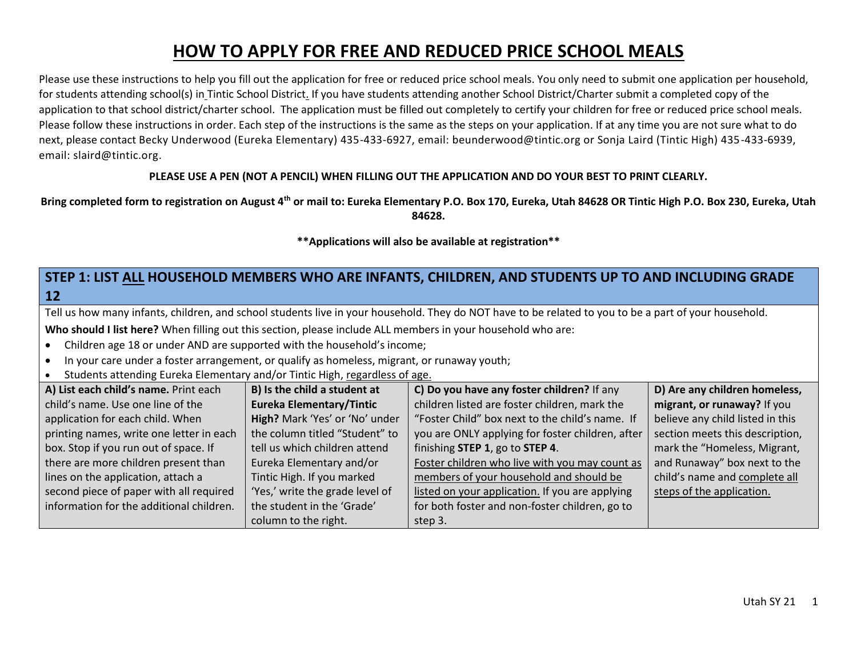# **HOW TO APPLY FOR FREE AND REDUCED PRICE SCHOOL MEALS**

Please use these instructions to help you fill out the application for free or reduced price school meals. You only need to submit one application per household, for students attending school(s) in Tintic School District. If you have students attending another School District/Charter submit a completed copy of the application to that school district/charter school. The application must be filled out completely to certify your children for free or reduced price school meals. Please follow these instructions in order. Each step of the instructions is the same as the steps on your application. If at any time you are not sure what to do next, please contact Becky Underwood (Eureka Elementary) 435-433-6927, email: beunderwood@tintic.org or Sonja Laird (Tintic High) 435-433-6939, email: slaird@tintic.org.

### **PLEASE USE A PEN (NOT A PENCIL) WHEN FILLING OUT THE APPLICATION AND DO YOUR BEST TO PRINT CLEARLY.**

**Bring completed form to registration on August 4th or mail to: Eureka Elementary P.O. Box 170, Eureka, Utah 84628 OR Tintic High P.O. Box 230, Eureka, Utah 84628.**

**\*\*Applications will also be available at registration\*\***

# **STEP 1: LIST ALL HOUSEHOLD MEMBERS WHO ARE INFANTS, CHILDREN, AND STUDENTS UP TO AND INCLUDING GRADE 12**

Tell us how many infants, children, and school students live in your household. They do NOT have to be related to you to be a part of your household.

**Who should I list here?** When filling out this section, please include ALL members in your household who are:

- Children age 18 or under AND are supported with the household's income;
- In your care under a foster arrangement, or qualify as homeless, migrant, or runaway youth;
- Students attending Eureka Elementary and/or Tintic High, regardless of age.

| A) List each child's name. Print each    | B) Is the child a student at    | C) Do you have any foster children? If any       | D) Are any children homeless,    |
|------------------------------------------|---------------------------------|--------------------------------------------------|----------------------------------|
| child's name. Use one line of the        | <b>Eureka Elementary/Tintic</b> | children listed are foster children, mark the    | migrant, or runaway? If you      |
| application for each child. When         | High? Mark 'Yes' or 'No' under  | "Foster Child" box next to the child's name. If  | believe any child listed in this |
| printing names, write one letter in each | the column titled "Student" to  | you are ONLY applying for foster children, after | section meets this description,  |
| box. Stop if you run out of space. If    | tell us which children attend   | finishing STEP 1, go to STEP 4.                  | mark the "Homeless, Migrant,     |
| there are more children present than     | Eureka Elementary and/or        | Foster children who live with you may count as   | and Runaway" box next to the     |
| lines on the application, attach a       | Tintic High. If you marked      | members of your household and should be          | child's name and complete all    |
| second piece of paper with all required  | 'Yes,' write the grade level of | listed on your application. If you are applying  | steps of the application.        |
| information for the additional children. | the student in the 'Grade'      | for both foster and non-foster children, go to   |                                  |
|                                          | column to the right.            | step 3.                                          |                                  |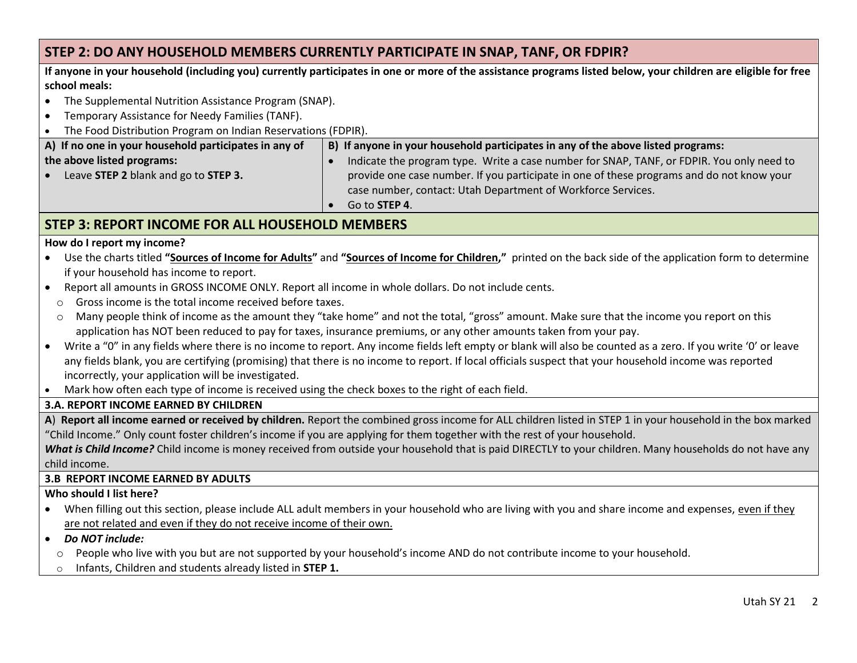## **STEP 2: DO ANY HOUSEHOLD MEMBERS CURRENTLY PARTICIPATE IN SNAP, TANF, OR FDPIR?**

**If anyone in your household (including you) currently participates in one or more of the assistance programs listed below, your children are eligible for free school meals:**

- The Supplemental Nutrition Assistance Program (SNAP).
- Temporary Assistance for Needy Families (TANF).
- The Food Distribution Program on Indian Reservations (FDPIR).

| A) If no one in your household participates in any of | B) If anyone in your household participates in any of the above listed programs:          |  |  |
|-------------------------------------------------------|-------------------------------------------------------------------------------------------|--|--|
| the above listed programs:                            | Indicate the program type. Write a case number for SNAP, TANF, or FDPIR. You only need to |  |  |
| Leave STEP 2 blank and go to STEP 3.<br>$\bullet$     | provide one case number. If you participate in one of these programs and do not know your |  |  |
|                                                       | case number, contact: Utah Department of Workforce Services.                              |  |  |
|                                                       | Go to <b>STEP 4</b> .                                                                     |  |  |

# **STEP 3: REPORT INCOME FOR ALL HOUSEHOLD MEMBERS**

### **How do I report my income?**

- Use the charts titled **"Sources of Income for Adults"** and **"Sources of Income for Children,"** printed on the back side of the application form to determine if your household has income to report.
- Report all amounts in GROSS INCOME ONLY. Report all income in whole dollars. Do not include cents.
	- o Gross income is the total income received before taxes.
	- o Many people think of income as the amount they "take home" and not the total, "gross" amount. Make sure that the income you report on this application has NOT been reduced to pay for taxes, insurance premiums, or any other amounts taken from your pay.
- Write a "0" in any fields where there is no income to report. Any income fields left empty or blank will also be counted as a zero. If you write '0' or leave any fields blank, you are certifying (promising) that there is no income to report. If local officials suspect that your household income was reported incorrectly, your application will be investigated.
- Mark how often each type of income is received using the check boxes to the right of each field.

### **3.A. REPORT INCOME EARNED BY CHILDREN**

**A**) **Report all income earned or received by children.** Report the combined gross income for ALL children listed in STEP 1 in your household in the box marked "Child Income." Only count foster children's income if you are applying for them together with the rest of your household.

*What is Child Income?* Child income is money received from outside your household that is paid DIRECTLY to your children. Many households do not have any child income.

### **3.B REPORT INCOME EARNED BY ADULTS**

### **Who should I list here?**

- When filling out this section, please include ALL adult members in your household who are living with you and share income and expenses, even if they are not related and even if they do not receive income of their own.
- *Do NOT include:* 
	- $\circ$  People who live with you but are not supported by your household's income AND do not contribute income to your household.
	- o Infants, Children and students already listed in **STEP 1.**